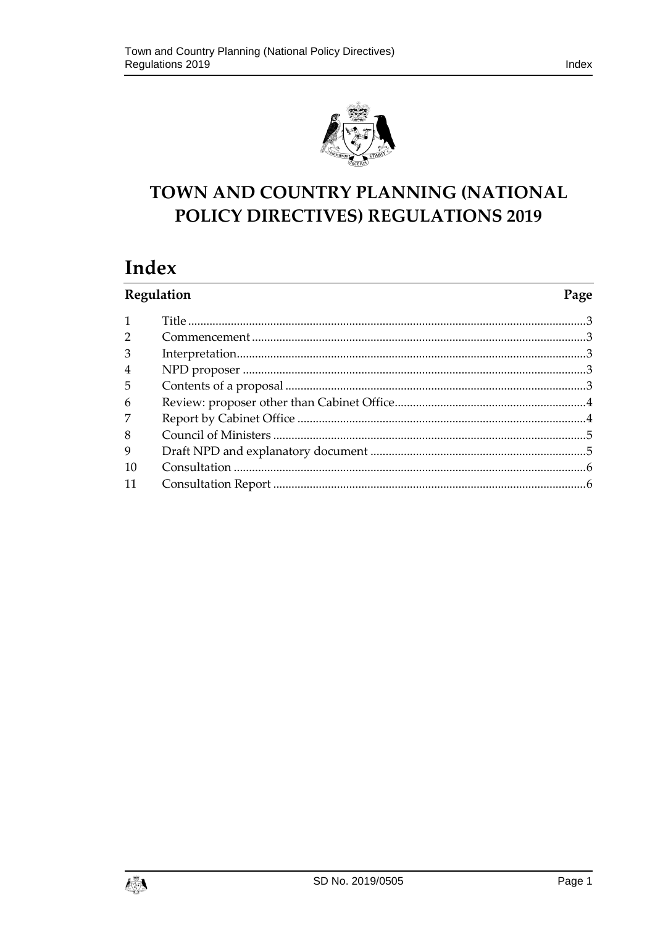

# TOWN AND COUNTRY PLANNING (NATIONAL POLICY DIRECTIVES) REGULATIONS 2019

# Index

| Regulation     |  | Page |
|----------------|--|------|
|                |  |      |
| $\overline{2}$ |  |      |
| 3              |  |      |
| $\overline{4}$ |  |      |
| 5              |  |      |
| 6              |  |      |
| 7              |  |      |
| 8              |  |      |
| 9              |  |      |
| 10             |  |      |
|                |  |      |

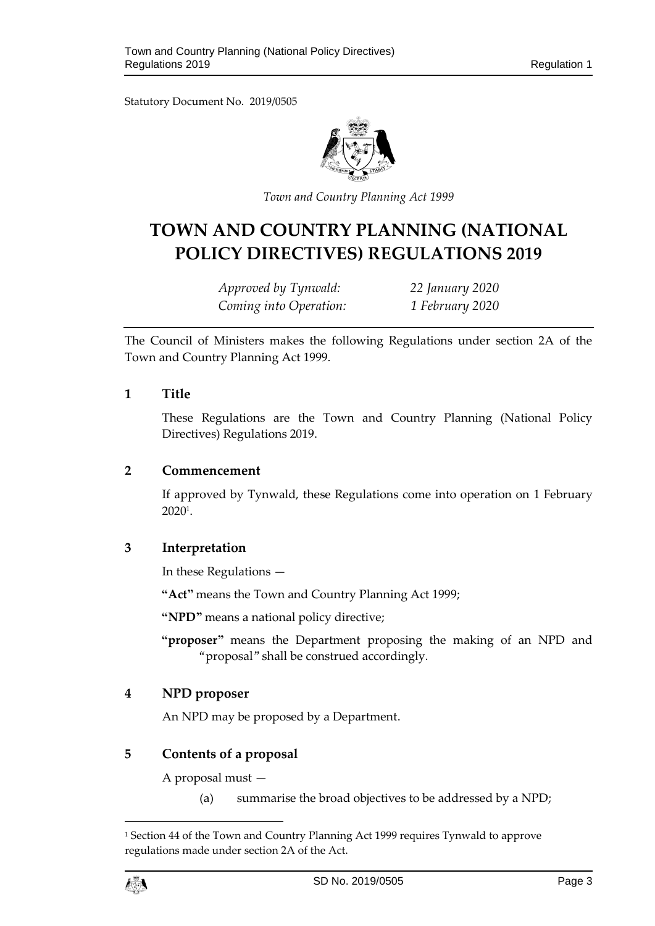Statutory Document No. 2019/0505



*Town and Country Planning Act 1999*

# **TOWN AND COUNTRY PLANNING (NATIONAL POLICY DIRECTIVES) REGULATIONS 2019**

*Approved by Tynwald: 22 January 2020 Coming into Operation: 1 February 2020*

The Council of Ministers makes the following Regulations under section 2A of the Town and Country Planning Act 1999.

#### <span id="page-2-0"></span>**1 Title**

These Regulations are the Town and Country Planning (National Policy Directives) Regulations 2019.

#### <span id="page-2-1"></span>**2 Commencement**

If approved by Tynwald, these Regulations come into operation on 1 February 2020<sup>1</sup> .

## <span id="page-2-2"></span>**3 Interpretation**

In these Regulations —

**"Act"** means the Town and Country Planning Act 1999;

**"NPD"** means a national policy directive;

**"proposer"** means the Department proposing the making of an NPD and "proposal" shall be construed accordingly.

## <span id="page-2-3"></span>**4 NPD proposer**

An NPD may be proposed by a Department.

#### <span id="page-2-4"></span>**5 Contents of a proposal**

A proposal must —

(a) summarise the broad objectives to be addressed by a NPD;

<sup>1</sup> Section 44 of the Town and Country Planning Act 1999 requires Tynwald to approve regulations made under section 2A of the Act.



 $\overline{a}$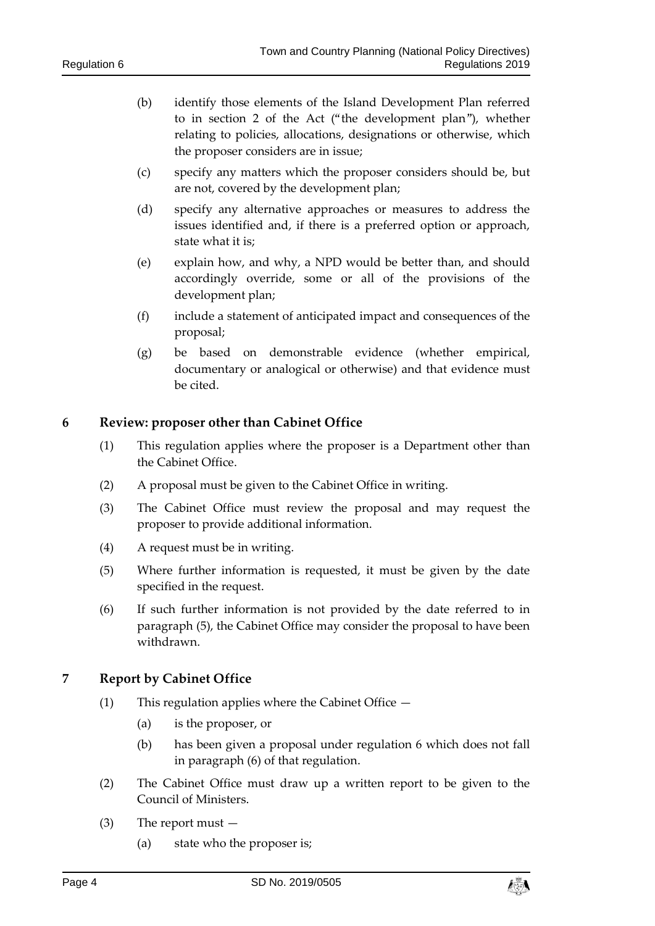- (b) identify those elements of the Island Development Plan referred to in section 2 of the Act ("the development plan"), whether relating to policies, allocations, designations or otherwise, which the proposer considers are in issue;
- (c) specify any matters which the proposer considers should be, but are not, covered by the development plan;
- (d) specify any alternative approaches or measures to address the issues identified and, if there is a preferred option or approach, state what it is;
- (e) explain how, and why, a NPD would be better than, and should accordingly override, some or all of the provisions of the development plan;
- (f) include a statement of anticipated impact and consequences of the proposal;
- (g) be based on demonstrable evidence (whether empirical, documentary or analogical or otherwise) and that evidence must be cited.

## <span id="page-3-0"></span>**6 Review: proposer other than Cabinet Office**

- (1) This regulation applies where the proposer is a Department other than the Cabinet Office.
- (2) A proposal must be given to the Cabinet Office in writing.
- (3) The Cabinet Office must review the proposal and may request the proposer to provide additional information.
- (4) A request must be in writing.
- (5) Where further information is requested, it must be given by the date specified in the request.
- (6) If such further information is not provided by the date referred to in paragraph (5), the Cabinet Office may consider the proposal to have been withdrawn.

## <span id="page-3-1"></span>**7 Report by Cabinet Office**

- (1) This regulation applies where the Cabinet Office
	- (a) is the proposer, or
	- (b) has been given a proposal under regulation 6 which does not fall in paragraph (6) of that regulation.
- (2) The Cabinet Office must draw up a written report to be given to the Council of Ministers.
- (3) The report must
	- (a) state who the proposer is;

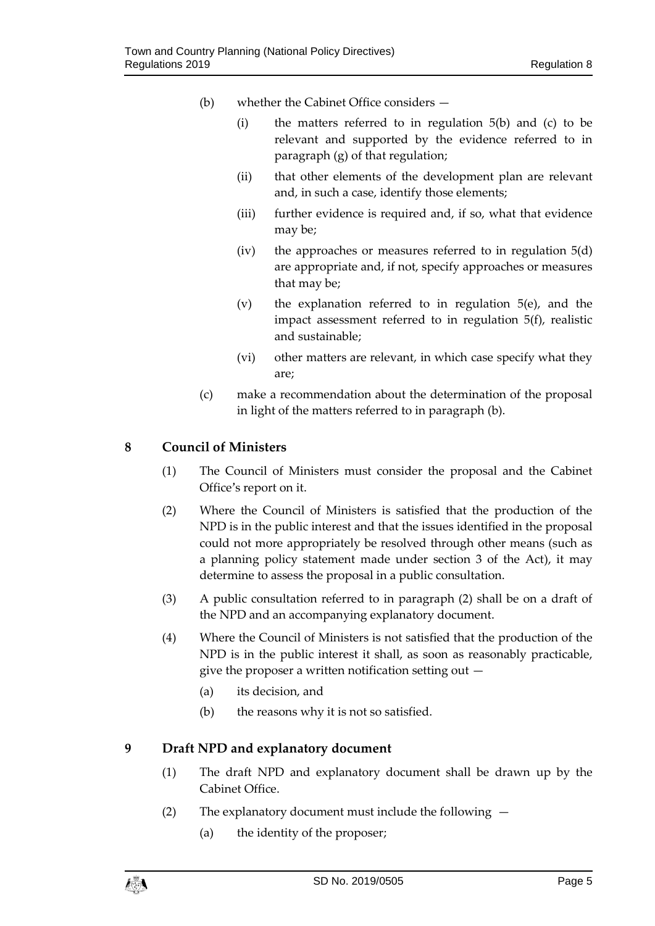- (b) whether the Cabinet Office considers
	- (i) the matters referred to in regulation 5(b) and (c) to be relevant and supported by the evidence referred to in paragraph (g) of that regulation;
	- (ii) that other elements of the development plan are relevant and, in such a case, identify those elements;
	- (iii) further evidence is required and, if so, what that evidence may be;
	- (iv) the approaches or measures referred to in regulation 5(d) are appropriate and, if not, specify approaches or measures that may be;
	- (v) the explanation referred to in regulation 5(e), and the impact assessment referred to in regulation 5(f), realistic and sustainable;
	- (vi) other matters are relevant, in which case specify what they are;
- (c) make a recommendation about the determination of the proposal in light of the matters referred to in paragraph (b).

## <span id="page-4-0"></span>**8 Council of Ministers**

- (1) The Council of Ministers must consider the proposal and the Cabinet Office's report on it.
- (2) Where the Council of Ministers is satisfied that the production of the NPD is in the public interest and that the issues identified in the proposal could not more appropriately be resolved through other means (such as a planning policy statement made under section 3 of the Act), it may determine to assess the proposal in a public consultation.
- (3) A public consultation referred to in paragraph (2) shall be on a draft of the NPD and an accompanying explanatory document.
- (4) Where the Council of Ministers is not satisfied that the production of the NPD is in the public interest it shall, as soon as reasonably practicable, give the proposer a written notification setting out  $-$ 
	- (a) its decision, and
	- (b) the reasons why it is not so satisfied.

# <span id="page-4-1"></span>**9 Draft NPD and explanatory document**

- (1) The draft NPD and explanatory document shall be drawn up by the Cabinet Office.
- (2) The explanatory document must include the following
	- (a) the identity of the proposer;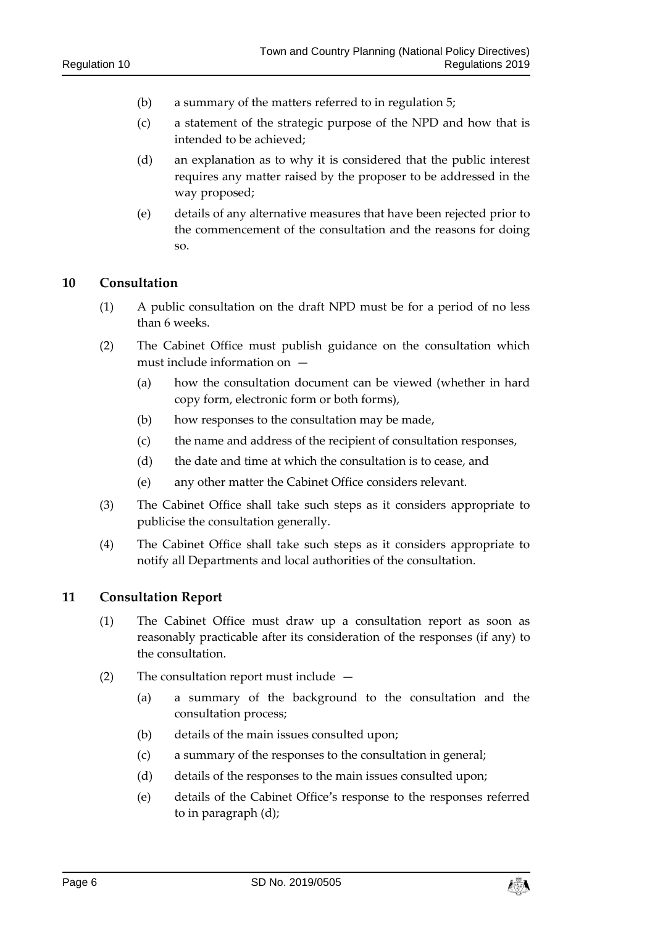- (b) a summary of the matters referred to in regulation 5;
- (c) a statement of the strategic purpose of the NPD and how that is intended to be achieved;
- (d) an explanation as to why it is considered that the public interest requires any matter raised by the proposer to be addressed in the way proposed;
- (e) details of any alternative measures that have been rejected prior to the commencement of the consultation and the reasons for doing so.

### <span id="page-5-0"></span>**10 Consultation**

- (1) A public consultation on the draft NPD must be for a period of no less than 6 weeks.
- (2) The Cabinet Office must publish guidance on the consultation which must include information on —
	- (a) how the consultation document can be viewed (whether in hard copy form, electronic form or both forms),
	- (b) how responses to the consultation may be made,
	- (c) the name and address of the recipient of consultation responses,
	- (d) the date and time at which the consultation is to cease, and
	- (e) any other matter the Cabinet Office considers relevant.
- (3) The Cabinet Office shall take such steps as it considers appropriate to publicise the consultation generally.
- (4) The Cabinet Office shall take such steps as it considers appropriate to notify all Departments and local authorities of the consultation.

### <span id="page-5-1"></span>**11 Consultation Report**

- (1) The Cabinet Office must draw up a consultation report as soon as reasonably practicable after its consideration of the responses (if any) to the consultation.
- (2) The consultation report must include
	- (a) a summary of the background to the consultation and the consultation process;
	- (b) details of the main issues consulted upon;
	- (c) a summary of the responses to the consultation in general;
	- (d) details of the responses to the main issues consulted upon;
	- (e) details of the Cabinet Office's response to the responses referred to in paragraph (d);

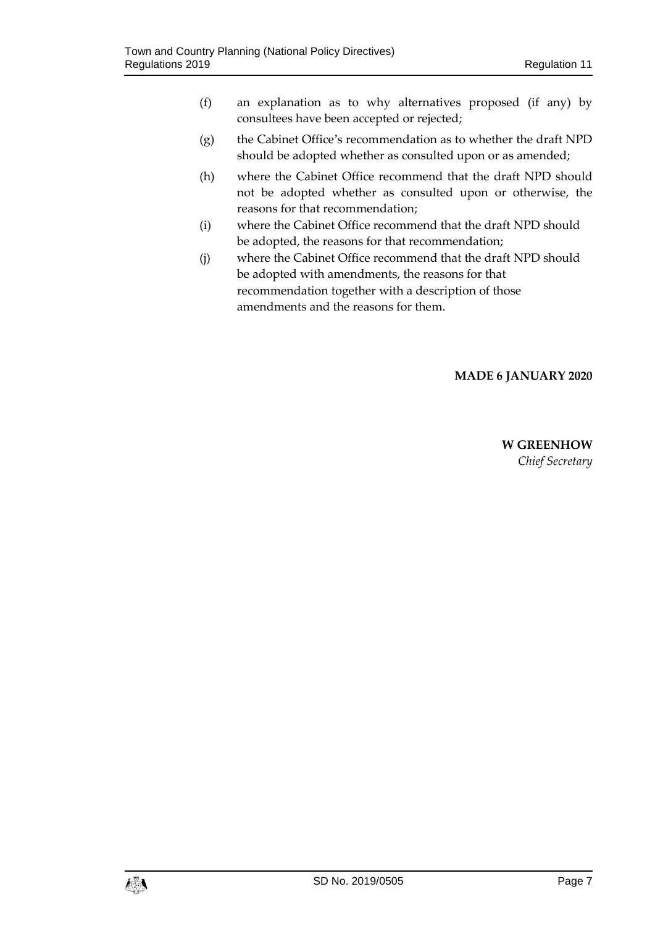- (f) an explanation as to why alternatives proposed (if any) by consultees have been accepted or rejected;
- (g) the Cabinet Office's recommendation as to whether the draft NPD should be adopted whether as consulted upon or as amended;
- (h) where the Cabinet Office recommend that the draft NPD should not be adopted whether as consulted upon or otherwise, the reasons for that recommendation;
- (i) where the Cabinet Office recommend that the draft NPD should be adopted, the reasons for that recommendation;
- (j) where the Cabinet Office recommend that the draft NPD should be adopted with amendments, the reasons for that recommendation together with a description of those amendments and the reasons for them.

## **MADE 6 JANUARY 2020**

**W GREENHOW** *Chief Secretary*